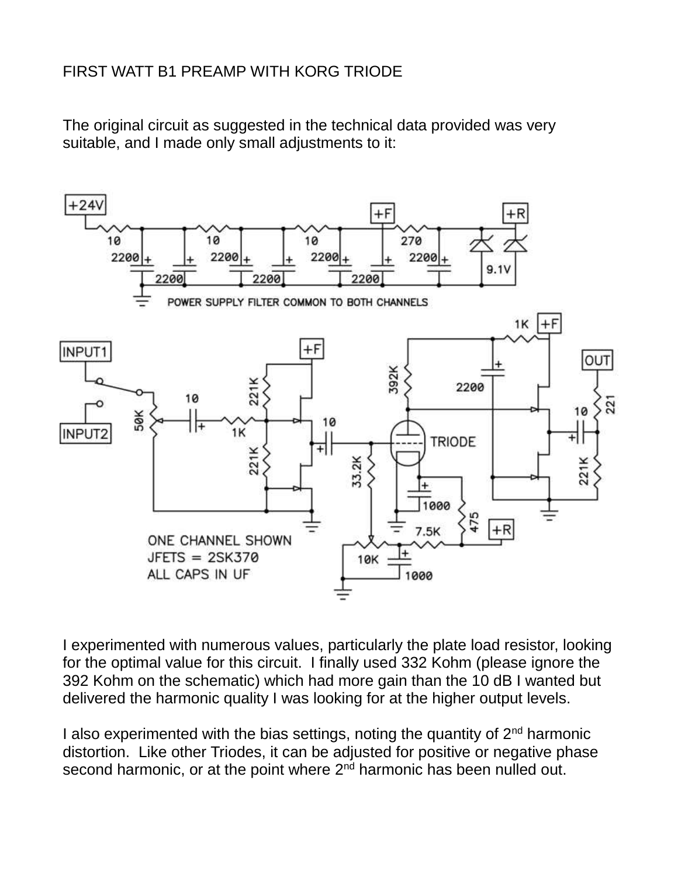## FIRST WATT B1 PREAMP WITH KORG TRIODE

The original circuit as suggested in the technical data provided was very suitable, and I made only small adjustments to it:



I experimented with numerous values, particularly the plate load resistor, looking for the optimal value for this circuit. I finally used 332 Kohm (please ignore the 392 Kohm on the schematic) which had more gain than the 10 dB I wanted but delivered the harmonic quality I was looking for at the higher output levels.

I also experimented with the bias settings, noting the quantity of  $2<sup>nd</sup>$  harmonic distortion. Like other Triodes, it can be adjusted for positive or negative phase second harmonic, or at the point where  $2<sup>nd</sup>$  harmonic has been nulled out.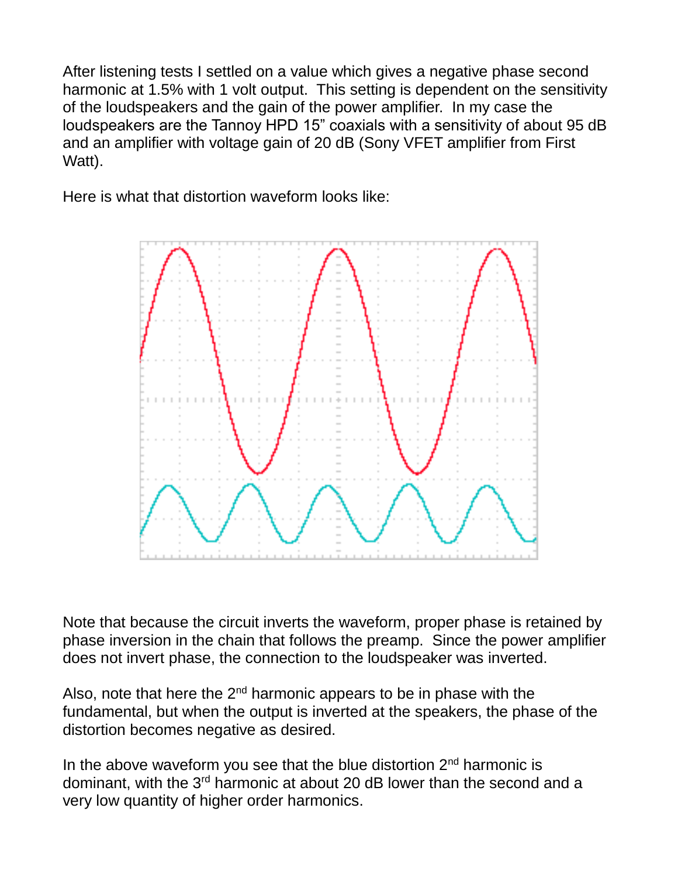After listening tests I settled on a value which gives a negative phase second harmonic at 1.5% with 1 volt output. This setting is dependent on the sensitivity of the loudspeakers and the gain of the power amplifier. In my case the loudspeakers are the Tannoy HPD 15" coaxials with a sensitivity of about 95 dB and an amplifier with voltage gain of 20 dB (Sony VFET amplifier from First Watt).

Here is what that distortion waveform looks like:



Note that because the circuit inverts the waveform, proper phase is retained by phase inversion in the chain that follows the preamp. Since the power amplifier does not invert phase, the connection to the loudspeaker was inverted.

Also, note that here the  $2<sup>nd</sup>$  harmonic appears to be in phase with the fundamental, but when the output is inverted at the speakers, the phase of the distortion becomes negative as desired.

In the above waveform you see that the blue distortion  $2<sup>nd</sup>$  harmonic is dominant, with the 3<sup>rd</sup> harmonic at about 20 dB lower than the second and a very low quantity of higher order harmonics.